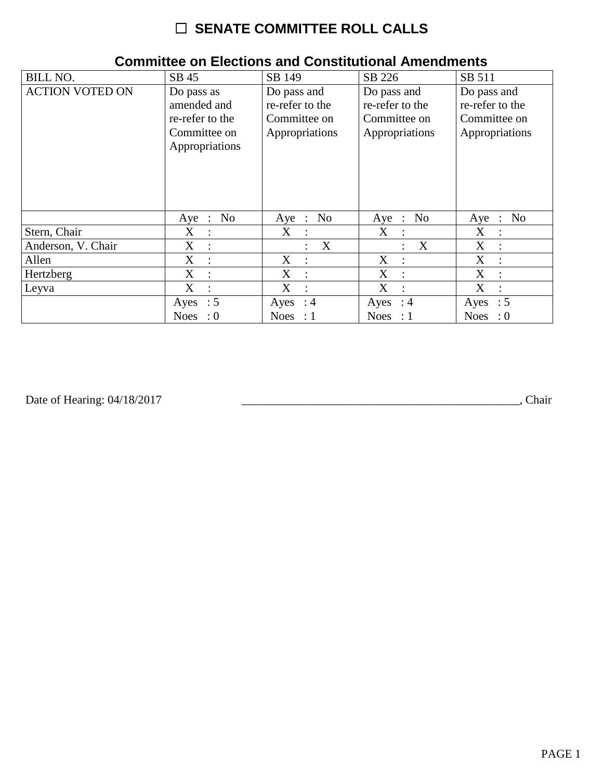# ☐ **SENATE COMMITTEE ROLL CALLS**

| <b>BILL NO.</b>        | SB 45                                                                          | SB 149                                                           | SB 226                                                           | SB 511                                                           |
|------------------------|--------------------------------------------------------------------------------|------------------------------------------------------------------|------------------------------------------------------------------|------------------------------------------------------------------|
| <b>ACTION VOTED ON</b> | Do pass as<br>amended and<br>re-refer to the<br>Committee on<br>Appropriations | Do pass and<br>re-refer to the<br>Committee on<br>Appropriations | Do pass and<br>re-refer to the<br>Committee on<br>Appropriations | Do pass and<br>re-refer to the<br>Committee on<br>Appropriations |
|                        | No<br>$Aye$ :                                                                  | N <sub>0</sub><br>Aye :                                          | Aye : No                                                         | No<br>Aye<br>$\therefore$                                        |
| Stern, Chair           | X                                                                              | X<br>$\ddot{\cdot}$                                              | $\mathbf{X}$<br>$\ddot{\phantom{a}}$                             | X<br>$\ddot{\cdot}$                                              |
| Anderson, V. Chair     | X<br>$\ddot{\cdot}$                                                            | X<br>÷                                                           | X                                                                | X<br>$\ddot{\phantom{a}}$                                        |
| Allen                  | X                                                                              | X<br>$\ddot{\phantom{a}}$                                        | X<br>$\cdot$                                                     | X<br>$\ddot{\cdot}$                                              |
| Hertzberg              | X<br>$\ddot{\phantom{a}}$                                                      | X<br>$\ddot{\cdot}$                                              | X<br>$\ddot{\phantom{a}}$                                        | X<br>$\ddot{\cdot}$                                              |
| Leyva                  | X<br>$\bullet$                                                                 | X<br>$\ddot{\cdot}$                                              | X                                                                | X<br>$\ddot{\cdot}$                                              |
|                        | Ayes : $5$                                                                     | Ayes : $4$                                                       | Ayes : $4$                                                       | $\therefore$ 5<br>Ayes                                           |
|                        | <b>Noes</b><br>$\colon 0$                                                      | Noes : $1$                                                       | Noes : $1$                                                       | <b>Noes</b><br>$\therefore 0$                                    |

### **Committee on Elections and Constitutional Amendments**

Date of Hearing: 04/18/2017

Date of Hearing: 04/18/2017 \_\_\_\_\_\_\_\_\_\_\_\_\_\_\_\_\_\_\_\_\_\_\_\_\_\_\_\_\_\_\_\_\_\_\_\_\_\_\_\_\_\_\_\_\_\_\_, Chair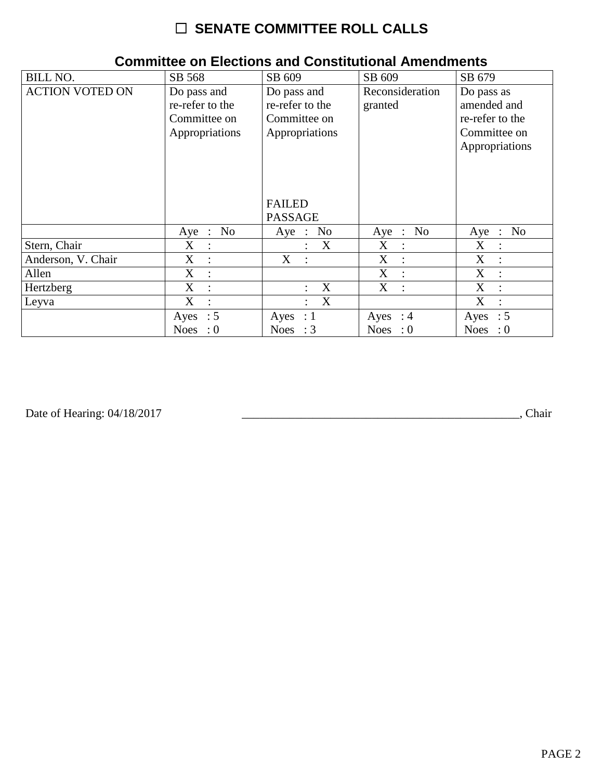# ☐ **SENATE COMMITTEE ROLL CALLS**

| <b>BILL NO.</b>        | SB 568                                                           | SB 609                                                           | SB 609                     | SB 679                                                                         |
|------------------------|------------------------------------------------------------------|------------------------------------------------------------------|----------------------------|--------------------------------------------------------------------------------|
| <b>ACTION VOTED ON</b> | Do pass and<br>re-refer to the<br>Committee on<br>Appropriations | Do pass and<br>re-refer to the<br>Committee on<br>Appropriations | Reconsideration<br>granted | Do pass as<br>amended and<br>re-refer to the<br>Committee on<br>Appropriations |
|                        |                                                                  | <b>FAILED</b><br><b>PASSAGE</b>                                  |                            |                                                                                |
|                        | No<br>Aye :                                                      | Aye : No                                                         | Aye : No                   | N <sub>0</sub><br>$Aye$ :                                                      |
| Stern, Chair           | $X_{\mathcal{I}}$                                                | X                                                                | X                          | X                                                                              |
| Anderson, V. Chair     | X                                                                | $X_{\mathcal{C}}$                                                | X                          | X                                                                              |
| Allen                  | X                                                                |                                                                  | X                          | X                                                                              |
| Hertzberg              | $\mathbf{X}$                                                     | X                                                                | X                          | X                                                                              |
| Leyva                  | X                                                                | X                                                                |                            | X                                                                              |
|                        | Ayes : $5$                                                       | Ayes<br>$\therefore$ 1                                           | Ayes : $4$                 | $\therefore$ 5<br>Ayes                                                         |
|                        | <b>Noes</b><br>$\colon 0$                                        | Noes : $3$                                                       | Noes : $0$                 | <b>Noes</b><br>$\cdot 0$                                                       |

#### **Committee on Elections and Constitutional Amendments**

Date of Hearing: 04/18/2017 \_\_\_\_\_\_\_\_\_\_\_\_\_\_\_\_\_\_\_\_\_\_\_\_\_\_\_\_\_\_\_\_\_\_\_\_\_\_\_\_\_\_\_\_\_\_\_, Chair